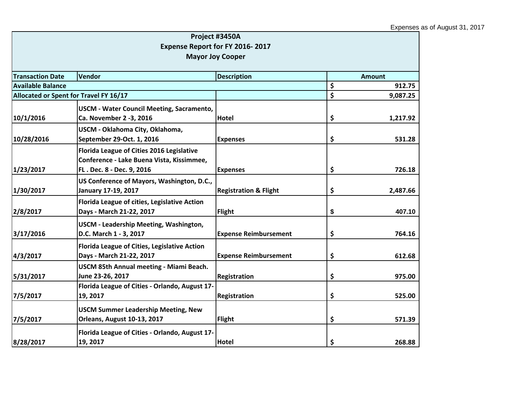|                                        |                                                                                                                     | Project #3450A                   |                |
|----------------------------------------|---------------------------------------------------------------------------------------------------------------------|----------------------------------|----------------|
|                                        |                                                                                                                     | Expense Report for FY 2016-2017  |                |
|                                        |                                                                                                                     | <b>Mayor Joy Cooper</b>          |                |
|                                        |                                                                                                                     |                                  |                |
| <b>Transaction Date</b>                | Vendor                                                                                                              | <b>Description</b>               | <b>Amount</b>  |
| <b>Available Balance</b>               |                                                                                                                     |                                  | \$<br>912.75   |
| Allocated or Spent for Travel FY 16/17 |                                                                                                                     |                                  | \$<br>9,087.25 |
| 10/1/2016                              | <b>USCM - Water Council Meeting, Sacramento,</b><br>Ca. November 2 -3, 2016                                         | <b>Hotel</b>                     | \$<br>1,217.92 |
| 10/28/2016                             | USCM - Oklahoma City, Oklahoma,<br>September 29-Oct. 1, 2016                                                        | <b>Expenses</b>                  | \$<br>531.28   |
| 1/23/2017                              | Florida League of Cities 2016 Legislative<br>Conference - Lake Buena Vista, Kissimmee,<br>FL. Dec. 8 - Dec. 9, 2016 | <b>Expenses</b>                  | \$<br>726.18   |
| 1/30/2017                              | US Conference of Mayors, Washington, D.C.,<br>January 17-19, 2017                                                   | <b>Registration &amp; Flight</b> | \$<br>2,487.66 |
| 2/8/2017                               | Florida League of cities, Legislative Action<br>Days - March 21-22, 2017                                            | <b>Flight</b>                    | \$<br>407.10   |
| 3/17/2016                              | USCM - Leadership Meeting, Washington,<br>D.C. March 1 - 3, 2017                                                    | <b>Expense Reimbursement</b>     | \$<br>764.16   |
| 4/3/2017                               | Florida League of Cities, Legislative Action<br>Days - March 21-22, 2017                                            | <b>Expense Reimbursement</b>     | \$<br>612.68   |
| 5/31/2017                              | USCM 85th Annual meeting - Miami Beach.<br>June 23-26, 2017                                                         | Registration                     | \$<br>975.00   |
| 7/5/2017                               | Florida League of Cities - Orlando, August 17-<br>19, 2017                                                          | Registration                     | \$<br>525.00   |
| 7/5/2017                               | <b>USCM Summer Leadership Meeting, New</b><br><b>Orleans, August 10-13, 2017</b>                                    | <b>Flight</b>                    | \$<br>571.39   |
| 8/28/2017                              | Florida League of Cities - Orlando, August 17-<br>19, 2017                                                          | <b>Hotel</b>                     | \$<br>268.88   |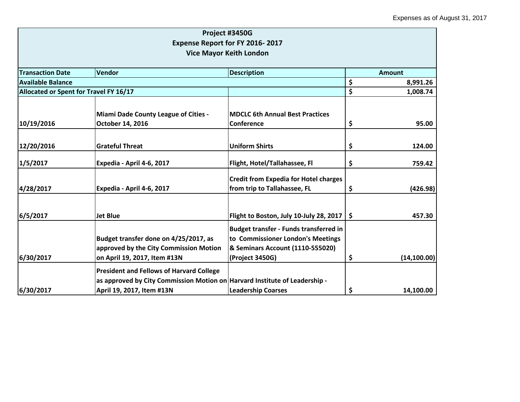|                                        |                                                                                                                                                            | Project #3450G                                                                                                                            |               |               |
|----------------------------------------|------------------------------------------------------------------------------------------------------------------------------------------------------------|-------------------------------------------------------------------------------------------------------------------------------------------|---------------|---------------|
|                                        |                                                                                                                                                            | Expense Report for FY 2016-2017                                                                                                           |               |               |
|                                        |                                                                                                                                                            | <b>Vice Mayor Keith London</b>                                                                                                            |               |               |
| <b>Transaction Date</b>                | Vendor                                                                                                                                                     | <b>Description</b>                                                                                                                        |               | <b>Amount</b> |
| <b>Available Balance</b>               |                                                                                                                                                            |                                                                                                                                           | \$            | 8,991.26      |
| Allocated or Spent for Travel FY 16/17 |                                                                                                                                                            |                                                                                                                                           | \$            | 1,008.74      |
|                                        | Miami Dade County League of Cities -                                                                                                                       | <b>MDCLC 6th Annual Best Practices</b>                                                                                                    |               |               |
| 10/19/2016                             | October 14, 2016                                                                                                                                           | Conference                                                                                                                                | \$            | 95.00         |
| 12/20/2016                             | <b>Grateful Threat</b>                                                                                                                                     | <b>Uniform Shirts</b>                                                                                                                     | \$            | 124.00        |
| 1/5/2017                               | Expedia - April 4-6, 2017                                                                                                                                  | Flight, Hotel/Tallahassee, Fl                                                                                                             | \$            | 759.42        |
| 4/28/2017                              | Expedia - April 4-6, 2017                                                                                                                                  | <b>Credit from Expedia for Hotel charges</b><br>from trip to Tallahassee, FL                                                              | \$            | (426.98)      |
| 6/5/2017                               | <b>Jet Blue</b>                                                                                                                                            | Flight to Boston, July 10-July 28, 2017                                                                                                   | $\mathsf{\$}$ | 457.30        |
| 6/30/2017                              | Budget transfer done on 4/25/2017, as<br>approved by the City Commission Motion<br>on April 19, 2017, Item #13N                                            | <b>Budget transfer - Funds transferred in</b><br>to Commissioner London's Meetings<br>& Seminars Account (1110-555020)<br>(Project 3450G) | \$            | (14, 100.00)  |
| 6/30/2017                              | <b>President and Fellows of Harvard College</b><br>as approved by City Commission Motion on Harvard Institute of Leadership -<br>April 19, 2017, Item #13N | <b>Leadership Coarses</b>                                                                                                                 | \$            | 14,100.00     |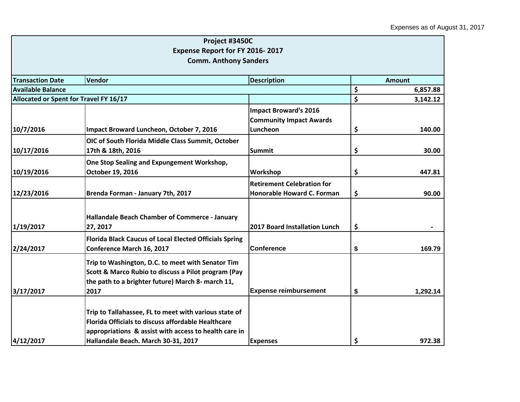|                                        | Project #3450C                                                |                                   |               |          |
|----------------------------------------|---------------------------------------------------------------|-----------------------------------|---------------|----------|
|                                        | Expense Report for FY 2016-2017                               |                                   |               |          |
|                                        | <b>Comm. Anthony Sanders</b>                                  |                                   |               |          |
|                                        |                                                               |                                   |               |          |
| <b>Transaction Date</b>                | <b>Vendor</b>                                                 | <b>Description</b>                | <b>Amount</b> |          |
| <b>Available Balance</b>               |                                                               |                                   | \$            | 6,857.88 |
| Allocated or Spent for Travel FY 16/17 |                                                               |                                   | \$            | 3,142.12 |
|                                        |                                                               | <b>Impact Broward's 2016</b>      |               |          |
|                                        |                                                               | <b>Community Impact Awards</b>    |               |          |
| 10/7/2016                              | Impact Broward Luncheon, October 7, 2016                      | Luncheon                          | \$            | 140.00   |
|                                        | OIC of South Florida Middle Class Summit, October             |                                   |               |          |
| 10/17/2016                             | 17th & 18th, 2016                                             | <b>Summit</b>                     | \$            | 30.00    |
|                                        | One Stop Sealing and Expungement Workshop,                    |                                   |               |          |
| 10/19/2016                             | October 19, 2016                                              | Workshop                          | \$            | 447.81   |
|                                        |                                                               | <b>Retirement Celebration for</b> |               |          |
| 12/23/2016                             | Brenda Forman - January 7th, 2017                             | Honorable Howard C. Forman        | \$            | 90.00    |
|                                        |                                                               |                                   |               |          |
|                                        | Hallandale Beach Chamber of Commerce - January                |                                   |               |          |
| 1/19/2017                              | 27, 2017                                                      | 2017 Board Installation Lunch     | \$            |          |
|                                        | <b>Florida Black Caucus of Local Elected Officials Spring</b> |                                   |               |          |
| 2/24/2017                              | Conference March 16, 2017                                     | <b>Conference</b>                 | \$            | 169.79   |
|                                        | Trip to Washington, D.C. to meet with Senator Tim             |                                   |               |          |
|                                        | Scott & Marco Rubio to discuss a Pilot program (Pay           |                                   |               |          |
|                                        | the path to a brighter future) March 8- march 11,             |                                   |               |          |
| 3/17/2017                              | 2017                                                          | <b>Expense reimbursement</b>      | \$            | 1,292.14 |
|                                        |                                                               |                                   |               |          |
|                                        | Trip to Tallahassee, FL to meet with various state of         |                                   |               |          |
|                                        | <b>Florida Officials to discuss affordable Healthcare</b>     |                                   |               |          |
|                                        | appropriations & assist with access to health care in         |                                   |               |          |
| 4/12/2017                              | Hallandale Beach. March 30-31, 2017                           | <b>Expenses</b>                   | \$            | 972.38   |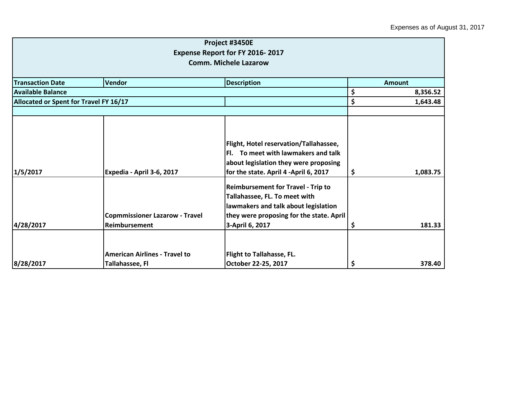|                                        |                                                         | Project #3450E<br>Expense Report for FY 2016-2017                                                                                                                                 |    |               |  |
|----------------------------------------|---------------------------------------------------------|-----------------------------------------------------------------------------------------------------------------------------------------------------------------------------------|----|---------------|--|
| <b>Comm. Michele Lazarow</b>           |                                                         |                                                                                                                                                                                   |    |               |  |
| <b>Transaction Date</b>                | <b>Vendor</b>                                           | <b>Description</b>                                                                                                                                                                |    | <b>Amount</b> |  |
| <b>Available Balance</b>               |                                                         |                                                                                                                                                                                   | \$ | 8,356.52      |  |
| Allocated or Spent for Travel FY 16/17 |                                                         |                                                                                                                                                                                   | \$ | 1,643.48      |  |
|                                        |                                                         |                                                                                                                                                                                   |    |               |  |
| 1/5/2017                               | Expedia - April 3-6, 2017                               | Flight, Hotel reservation/Tallahassee,<br>Fl. To meet with lawmakers and talk<br>about legislation they were proposing<br>for the state. April 4 -April 6, 2017                   | \$ | 1,083.75      |  |
| 4/28/2017                              | <b>Copmmissioner Lazarow - Travel</b><br>Reimbursement  | <b>Reimbursement for Travel - Trip to</b><br>Tallahassee, FL. To meet with<br>lawmakers and talk about legislation<br>they were proposing for the state. April<br>3-April 6, 2017 | \$ | 181.33        |  |
| 8/28/2017                              | <b>American Airlines - Travel to</b><br>Tallahassee, Fl | <b>Flight to Tallahasse, FL.</b><br>October 22-25, 2017                                                                                                                           | \$ | 378.40        |  |